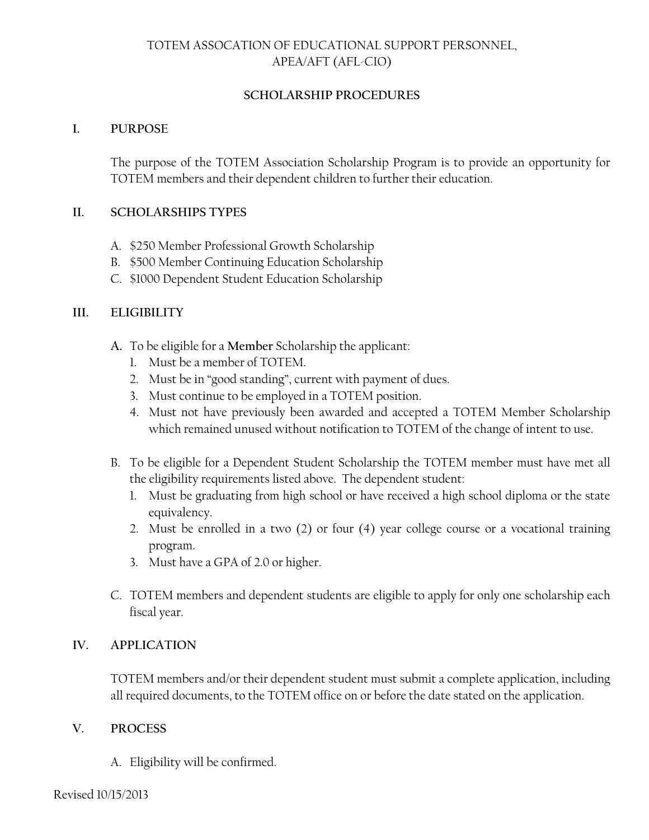# TOTEM ASSOCATION OF EDUCATIONAL SUPPORT PERSONNEL, APEA/AFT (AFL-CIO)

### **SCHOLARSHIP PROCEDURES**

#### **I. PURPOSE**

The purpose of the TOTEM Association Scholarship Program is to provide an opportunity for TOTEM members and their dependent children to further their education.

#### **II. SCHOLARSHIPS TYPES**

- A. \$250 Member Professional Growth Scholarship
- B. \$500 Member Continuing Education Scholarship
- C. \$1000 Dependent Student Education Scholarship

## **III. ELIGIBILITY**

- **A.** To be eligible for a **Member** Scholarship the applicant:
	- 1. Must be a member of TOTEM.
	- 2. Must be in "good standing", current with payment of dues.
	- 3. Must continue to be employed in a TOTEM position.
	- 4. Must not have previously been awarded and accepted a TOTEM Member Scholarship which remained unused without notification to TOTEM of the change of intent to use.
- B. To be eligible for a Dependent Student Scholarship the TOTEM member must have met all the eligibility requirements listed above. The dependent student:
	- 1. Must be graduating from high school or have received a high school diploma or the state equivalency.
	- 2. Must be enrolled in a two (2) or four (4) year college course or a vocational training program.
	- 3. Must have a GPA of 2.0 or higher.
- C. TOTEM members and dependent students are eligible to apply for only one scholarship each fiscal year.

## **IV. APPLICATION**

TOTEM members and/or their dependent student must submit a complete application, including all required documents, to the TOTEM office on or before the date stated on the application.

#### **V. PROCESS**

A. Eligibility will be confirmed.